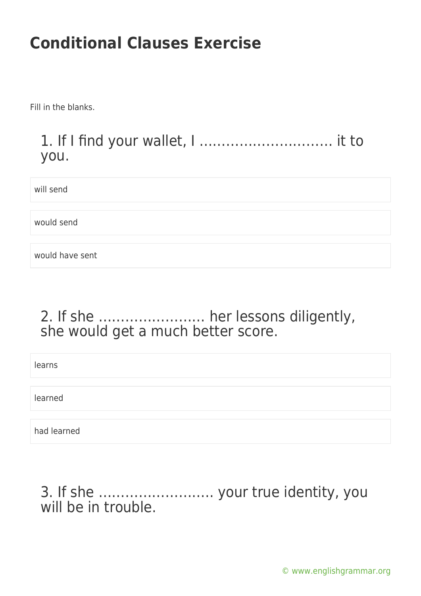Fill in the blanks.

### 1. If I find your wallet, I ………………………… it to you.

will send

would send

would have sent

### 2. If she …………………… her lessons diligently, she would get a much better score.

learns

learned

had learned

### 3. If she …………………….. your true identity, you will be in trouble.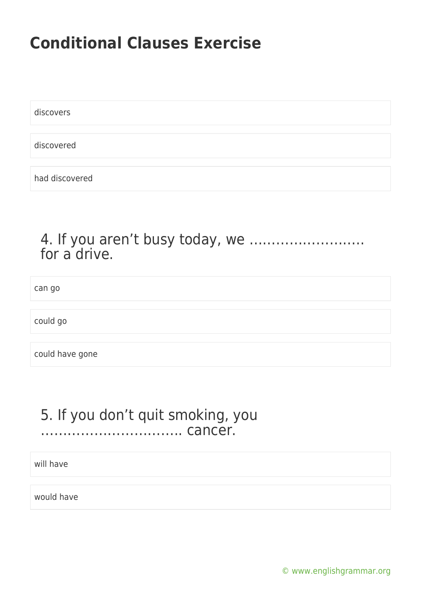discovers

discovered

had discovered

#### 4. If you aren't busy today, we …………………….. for a drive.

can go

could go

could have gone

#### 5. If you don't quit smoking, you ………………………….. cancer.

will have

would have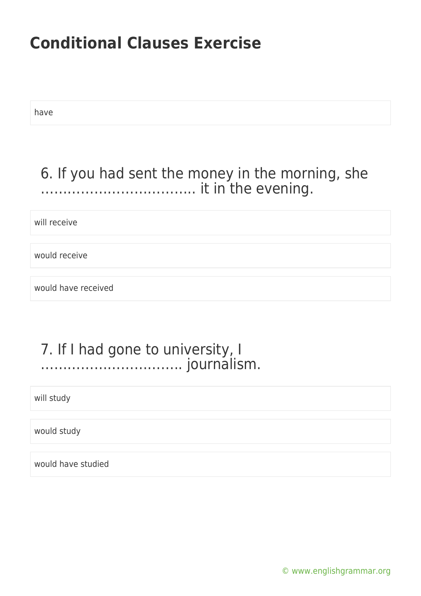have

### 6. If you had sent the money in the morning, she …………………………….. it in the evening.

will receive

would receive

would have received

#### 7. If I had gone to university, I ………………………….. journalism.

will study

would study

would have studied

[© www.englishgrammar.org](https://www.englishgrammar.org/)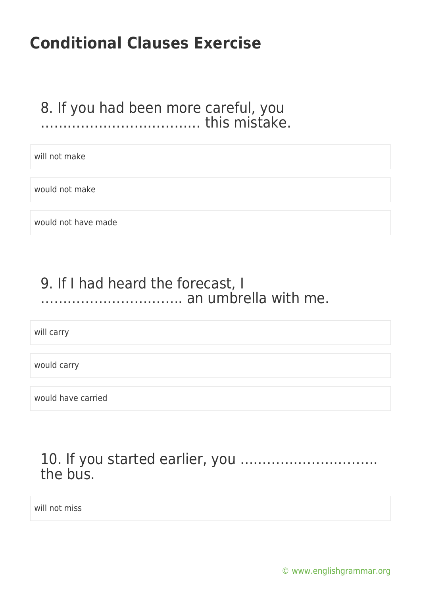### 8. If you had been more careful, you ……………………………… this mistake.

will not make

would not make

would not have made

### 9. If I had heard the forecast, I ………………………….. an umbrella with me.

will carry

would carry

would have carried

### 10. If you started earlier, you …………………………. the bus.

will not miss

[© www.englishgrammar.org](https://www.englishgrammar.org/)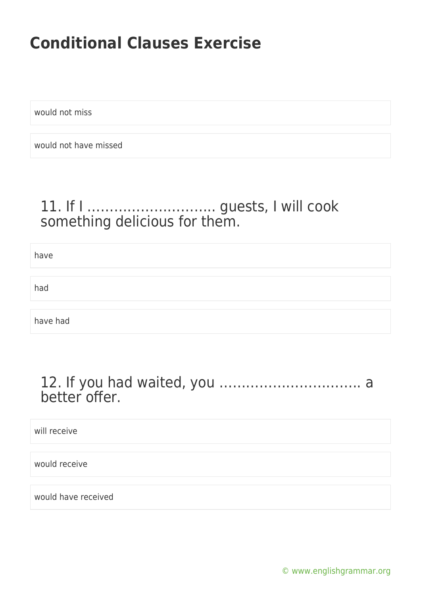would not miss

would not have missed

### 11. If I ……………………….. guests, I will cook something delicious for them.

have had have had

#### 12. If you had waited, you ………………………….. a better offer.

will receive

would receive

would have received